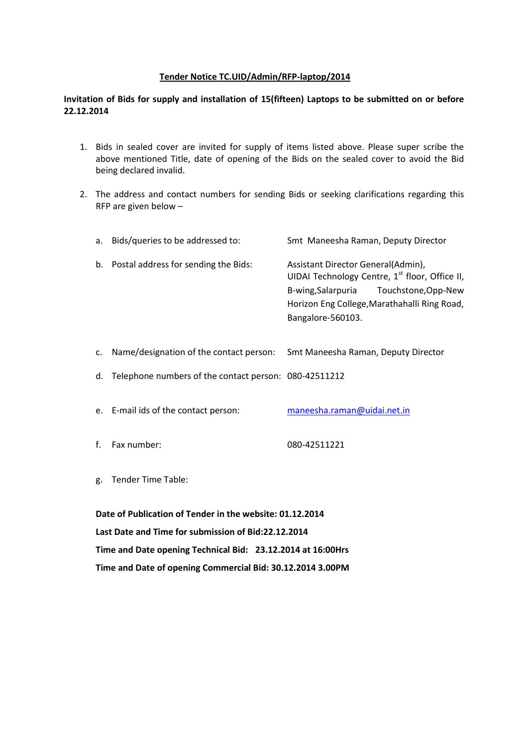### **Tender Notice TC.UID/Admin/RFP-laptop/2014**

### **Invitation of Bids for supply and installation of 15(fifteen) Laptops to be submitted on or before 22.12.2014**

- 1. Bids in sealed cover are invited for supply of items listed above. Please super scribe the above mentioned Title, date of opening of the Bids on the sealed cover to avoid the Bid being declared invalid.
- 2. The address and contact numbers for sending Bids or seeking clarifications regarding this RFP are given below –

| a.                                                          | Bids/queries to be addressed to:                      | Smt Maneesha Raman, Deputy Director                                                                                                                                                                    |  |  |  |
|-------------------------------------------------------------|-------------------------------------------------------|--------------------------------------------------------------------------------------------------------------------------------------------------------------------------------------------------------|--|--|--|
| b.                                                          | Postal address for sending the Bids:                  | Assistant Director General(Admin),<br>UIDAI Technology Centre, 1st floor, Office II,<br>Touchstone, Opp-New<br>B-wing, Salarpuria<br>Horizon Eng College, Marathahalli Ring Road,<br>Bangalore-560103. |  |  |  |
| $C_{\star}$                                                 | Name/designation of the contact person:               | Smt Maneesha Raman, Deputy Director                                                                                                                                                                    |  |  |  |
| d.                                                          | Telephone numbers of the contact person: 080-42511212 |                                                                                                                                                                                                        |  |  |  |
|                                                             | e. E-mail ids of the contact person:                  | maneesha.raman@uidai.net.in                                                                                                                                                                            |  |  |  |
| f.                                                          | Fax number:                                           | 080-42511221                                                                                                                                                                                           |  |  |  |
| g.                                                          | <b>Tender Time Table:</b>                             |                                                                                                                                                                                                        |  |  |  |
| Date of Publication of Tender in the website: 01.12.2014    |                                                       |                                                                                                                                                                                                        |  |  |  |
| Last Date and Time for submission of Bid:22.12.2014         |                                                       |                                                                                                                                                                                                        |  |  |  |
| Time and Date opening Technical Bid: 23.12.2014 at 16:00Hrs |                                                       |                                                                                                                                                                                                        |  |  |  |

**Time and Date of opening Commercial Bid: 30.12.2014 3.00PM**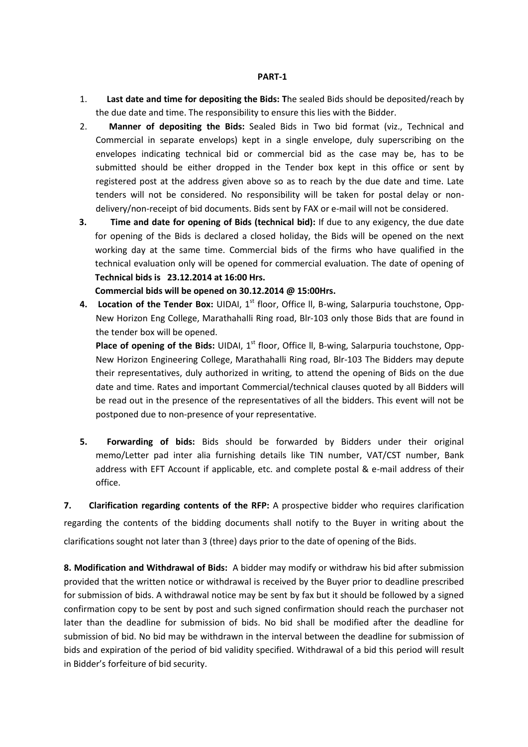#### **PART-1**

- 1. **Last date and time for depositing the Bids: T**he sealed Bids should be deposited/reach by the due date and time. The responsibility to ensure this lies with the Bidder.
- 2. **Manner of depositing the Bids:** Sealed Bids in Two bid format (viz., Technical and Commercial in separate envelops) kept in a single envelope, duly superscribing on the envelopes indicating technical bid or commercial bid as the case may be, has to be submitted should be either dropped in the Tender box kept in this office or sent by registered post at the address given above so as to reach by the due date and time. Late tenders will not be considered. No responsibility will be taken for postal delay or nondelivery/non-receipt of bid documents. Bids sent by FAX or e-mail will not be considered.
- **3. Time and date for opening of Bids (technical bid):** If due to any exigency, the due date for opening of the Bids is declared a closed holiday, the Bids will be opened on the next working day at the same time. Commercial bids of the firms who have qualified in the technical evaluation only will be opened for commercial evaluation. The date of opening of **Technical bids is 23.12.2014 at 16:00 Hrs.**

**Commercial bids will be opened on 30.12.2014 @ 15:00Hrs.**

**4.** Location of the Tender Box: UIDAI, 1<sup>st</sup> floor, Office II, B-wing, Salarpuria touchstone, Opp-New Horizon Eng College, Marathahalli Ring road, Blr-103 only those Bids that are found in the tender box will be opened.

**Place of opening of the Bids:** UIDAI, 1<sup>st</sup> floor, Office II, B-wing, Salarpuria touchstone, Opp-New Horizon Engineering College, Marathahalli Ring road, Blr-103 The Bidders may depute their representatives, duly authorized in writing, to attend the opening of Bids on the due date and time. Rates and important Commercial/technical clauses quoted by all Bidders will be read out in the presence of the representatives of all the bidders. This event will not be postponed due to non-presence of your representative.

**5. Forwarding of bids:** Bids should be forwarded by Bidders under their original memo/Letter pad inter alia furnishing details like TIN number, VAT/CST number, Bank address with EFT Account if applicable, etc. and complete postal & e-mail address of their office.

**7. Clarification regarding contents of the RFP:** A prospective bidder who requires clarification regarding the contents of the bidding documents shall notify to the Buyer in writing about the clarifications sought not later than 3 (three) days prior to the date of opening of the Bids.

**8. Modification and Withdrawal of Bids:** A bidder may modify or withdraw his bid after submission provided that the written notice or withdrawal is received by the Buyer prior to deadline prescribed for submission of bids. A withdrawal notice may be sent by fax but it should be followed by a signed confirmation copy to be sent by post and such signed confirmation should reach the purchaser not later than the deadline for submission of bids. No bid shall be modified after the deadline for submission of bid. No bid may be withdrawn in the interval between the deadline for submission of bids and expiration of the period of bid validity specified. Withdrawal of a bid this period will result in Bidder's forfeiture of bid security.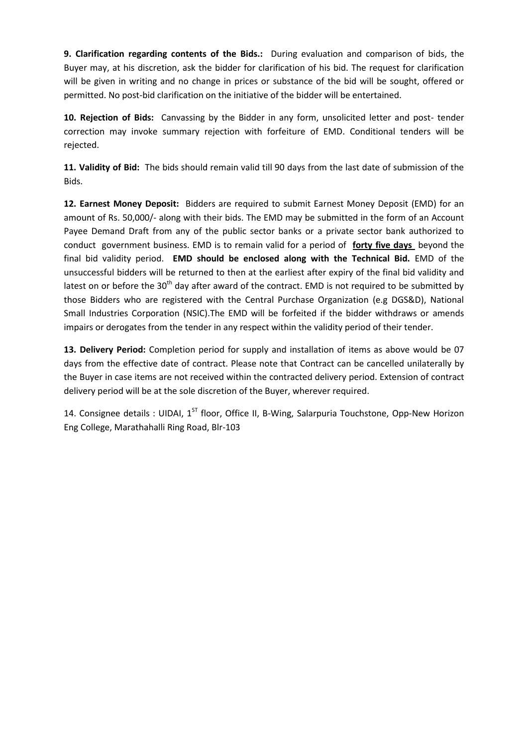**9. Clarification regarding contents of the Bids.:** During evaluation and comparison of bids, the Buyer may, at his discretion, ask the bidder for clarification of his bid. The request for clarification will be given in writing and no change in prices or substance of the bid will be sought, offered or permitted. No post-bid clarification on the initiative of the bidder will be entertained.

**10. Rejection of Bids:** Canvassing by the Bidder in any form, unsolicited letter and post- tender correction may invoke summary rejection with forfeiture of EMD. Conditional tenders will be rejected.

**11. Validity of Bid:** The bids should remain valid till 90 days from the last date of submission of the Bids.

**12. Earnest Money Deposit:** Bidders are required to submit Earnest Money Deposit (EMD) for an amount of Rs. 50,000/- along with their bids. The EMD may be submitted in the form of an Account Payee Demand Draft from any of the public sector banks or a private sector bank authorized to conduct government business. EMD is to remain valid for a period of **forty five days** beyond the final bid validity period. **EMD should be enclosed along with the Technical Bid.** EMD of the unsuccessful bidders will be returned to then at the earliest after expiry of the final bid validity and latest on or before the 30<sup>th</sup> day after award of the contract. EMD is not required to be submitted by those Bidders who are registered with the Central Purchase Organization (e.g DGS&D), National Small Industries Corporation (NSIC).The EMD will be forfeited if the bidder withdraws or amends impairs or derogates from the tender in any respect within the validity period of their tender.

**13. Delivery Period:** Completion period for supply and installation of items as above would be 07 days from the effective date of contract. Please note that Contract can be cancelled unilaterally by the Buyer in case items are not received within the contracted delivery period. Extension of contract delivery period will be at the sole discretion of the Buyer, wherever required.

14. Consignee details : UIDAI,  $1^{ST}$  floor, Office II, B-Wing, Salarpuria Touchstone, Opp-New Horizon Eng College, Marathahalli Ring Road, Blr-103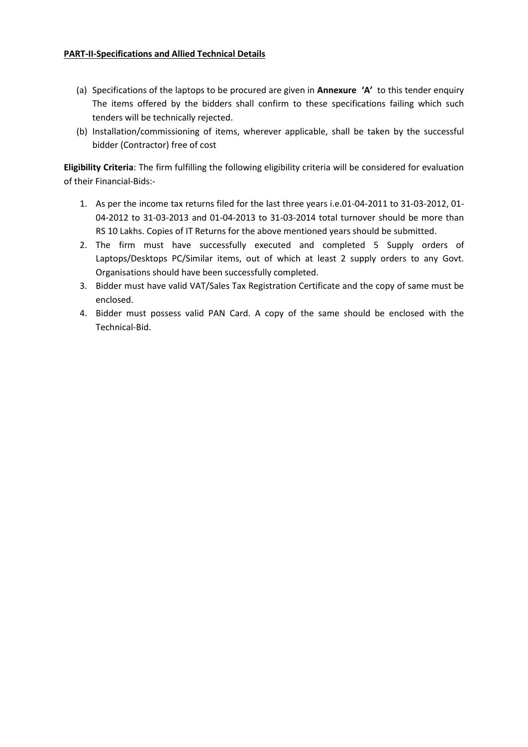- (a) Specifications of the laptops to be procured are given in **Annexure 'A'** to this tender enquiry The items offered by the bidders shall confirm to these specifications failing which such tenders will be technically rejected.
- (b) Installation/commissioning of items, wherever applicable, shall be taken by the successful bidder (Contractor) free of cost

**Eligibility Criteria**: The firm fulfilling the following eligibility criteria will be considered for evaluation of their Financial-Bids:-

- 1. As per the income tax returns filed for the last three years i.e.01-04-2011 to 31-03-2012, 01- 04-2012 to 31-03-2013 and 01-04-2013 to 31-03-2014 total turnover should be more than RS 10 Lakhs. Copies of IT Returns for the above mentioned years should be submitted.
- 2. The firm must have successfully executed and completed 5 Supply orders of Laptops/Desktops PC/Similar items, out of which at least 2 supply orders to any Govt. Organisations should have been successfully completed.
- 3. Bidder must have valid VAT/Sales Tax Registration Certificate and the copy of same must be enclosed.
- 4. Bidder must possess valid PAN Card. A copy of the same should be enclosed with the Technical-Bid.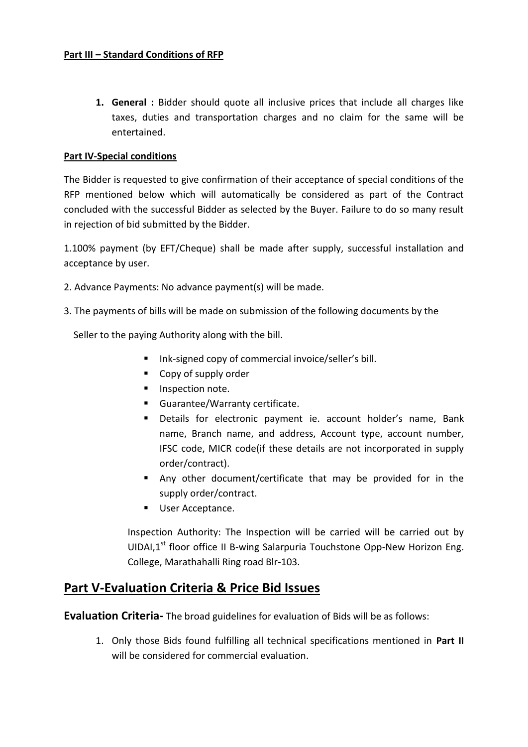### **Part III – Standard Conditions of RFP**

**1. General :** Bidder should quote all inclusive prices that include all charges like taxes, duties and transportation charges and no claim for the same will be entertained.

### **Part IV-Special conditions**

The Bidder is requested to give confirmation of their acceptance of special conditions of the RFP mentioned below which will automatically be considered as part of the Contract concluded with the successful Bidder as selected by the Buyer. Failure to do so many result in rejection of bid submitted by the Bidder.

1.100% payment (by EFT/Cheque) shall be made after supply, successful installation and acceptance by user.

- 2. Advance Payments: No advance payment(s) will be made.
- 3. The payments of bills will be made on submission of the following documents by the

Seller to the paying Authority along with the bill.

- Ink-signed copy of commercial invoice/seller's bill.
- Copy of supply order
- **Inspection note.**
- **Guarantee/Warranty certificate.**
- Details for electronic payment ie. account holder's name, Bank name, Branch name, and address, Account type, account number, IFSC code, MICR code(if these details are not incorporated in supply order/contract).
- Any other document/certificate that may be provided for in the supply order/contract.
- **User Acceptance.**

Inspection Authority: The Inspection will be carried will be carried out by UIDAI, $1^{st}$  floor office II B-wing Salarpuria Touchstone Opp-New Horizon Eng. College, Marathahalli Ring road Blr-103.

# **Part V-Evaluation Criteria & Price Bid Issues**

**Evaluation Criteria-** The broad guidelines for evaluation of Bids will be as follows:

1. Only those Bids found fulfilling all technical specifications mentioned in **Part II** will be considered for commercial evaluation.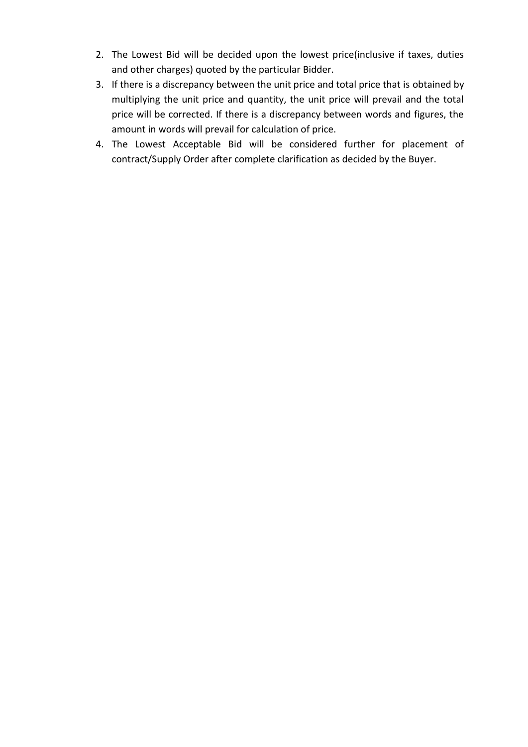- 2. The Lowest Bid will be decided upon the lowest price(inclusive if taxes, duties and other charges) quoted by the particular Bidder.
- 3. If there is a discrepancy between the unit price and total price that is obtained by multiplying the unit price and quantity, the unit price will prevail and the total price will be corrected. If there is a discrepancy between words and figures, the amount in words will prevail for calculation of price.
- 4. The Lowest Acceptable Bid will be considered further for placement of contract/Supply Order after complete clarification as decided by the Buyer.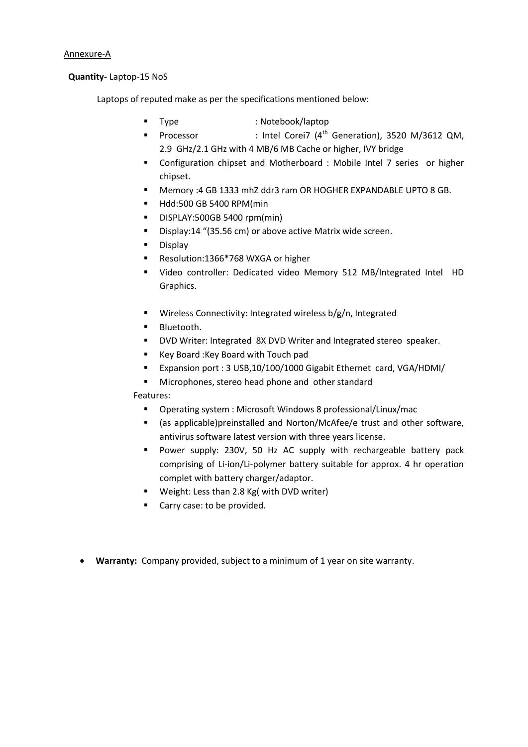#### **Quantity-** Laptop-15 NoS

Laptops of reputed make as per the specifications mentioned below:

- 
- **Type** : Notebook/laptop<br> **Processor** : Intel Corei7 (4<sup>th</sup>) : Intel Corei7 (4<sup>th</sup> Generation), 3520 M/3612 QM, 2.9 GHz/2.1 GHz with 4 MB/6 MB Cache or higher, IVY bridge
- Configuration chipset and Motherboard : Mobile Intel 7 series or higher chipset.
- Memory :4 GB 1333 mhZ ddr3 ram OR HOGHER EXPANDABLE UPTO 8 GB.
- **Hdd:500 GB 5400 RPM(min**
- DISPLAY:500GB 5400 rpm(min)
- Display:14 "(35.56 cm) or above active Matrix wide screen.
- **Display**
- Resolution:1366\*768 WXGA or higher
- Video controller: Dedicated video Memory 512 MB/Integrated Intel HD Graphics.
- Wireless Connectivity: Integrated wireless b/g/n, Integrated
- **Bluetooth.**
- **DVD Writer: Integrated 8X DVD Writer and Integrated stereo speaker.**
- Key Board: Key Board with Touch pad
- Expansion port : 3 USB,10/100/1000 Gigabit Ethernet card, VGA/HDMI/
- **Microphones, stereo head phone and other standard**

### Features:

- Operating system : Microsoft Windows 8 professional/Linux/mac
- (as applicable)preinstalled and Norton/McAfee/e trust and other software, antivirus software latest version with three years license.
- **Power supply: 230V, 50 Hz AC supply with rechargeable battery pack** comprising of Li-ion/Li-polymer battery suitable for approx. 4 hr operation complet with battery charger/adaptor.
- **Weight: Less than 2.8 Kg( with DVD writer)**
- Carry case: to be provided.
- **Warranty:** Company provided, subject to a minimum of 1 year on site warranty.